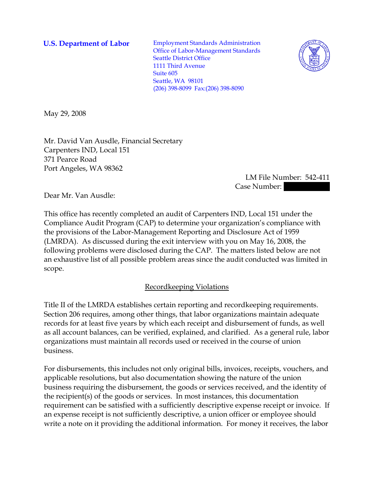**U.S. Department of Labor Employment Standards Administration** Office of Labor-Management Standards Seattle District Office 1111 Third Avenue Suite 605 Seattle, WA 98101 (206) 398-8099 Fax:(206) 398-8090



May 29, 2008

Mr. David Van Ausdle, Financial Secretary Carpenters IND, Local 151 371 Pearce Road Port Angeles, WA 98362

> LM File Number: 542-411 Case Number:

Dear Mr. Van Ausdle:

This office has recently completed an audit of Carpenters IND, Local 151 under the Compliance Audit Program (CAP) to determine your organization's compliance with the provisions of the Labor-Management Reporting and Disclosure Act of 1959 (LMRDA). As discussed during the exit interview with you on May 16, 2008, the following problems were disclosed during the CAP. The matters listed below are not an exhaustive list of all possible problem areas since the audit conducted was limited in scope.

## Recordkeeping Violations

Title II of the LMRDA establishes certain reporting and recordkeeping requirements. Section 206 requires, among other things, that labor organizations maintain adequate records for at least five years by which each receipt and disbursement of funds, as well as all account balances, can be verified, explained, and clarified. As a general rule, labor organizations must maintain all records used or received in the course of union business.

For disbursements, this includes not only original bills, invoices, receipts, vouchers, and applicable resolutions, but also documentation showing the nature of the union business requiring the disbursement, the goods or services received, and the identity of the recipient(s) of the goods or services. In most instances, this documentation requirement can be satisfied with a sufficiently descriptive expense receipt or invoice. If an expense receipt is not sufficiently descriptive, a union officer or employee should write a note on it providing the additional information. For money it receives, the labor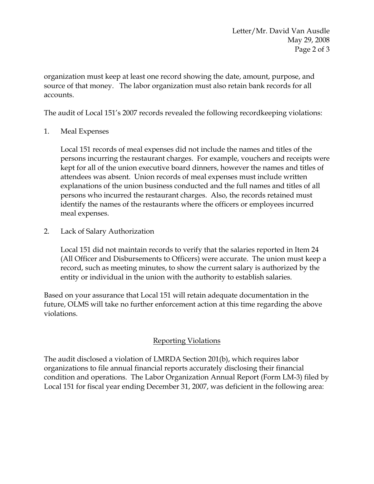organization must keep at least one record showing the date, amount, purpose, and source of that money. The labor organization must also retain bank records for all accounts.

The audit of Local 151's 2007 records revealed the following recordkeeping violations:

1. Meal Expenses

Local 151 records of meal expenses did not include the names and titles of the persons incurring the restaurant charges. For example, vouchers and receipts were kept for all of the union executive board dinners, however the names and titles of attendees was absent. Union records of meal expenses must include written explanations of the union business conducted and the full names and titles of all persons who incurred the restaurant charges. Also, the records retained must identify the names of the restaurants where the officers or employees incurred meal expenses.

2. Lack of Salary Authorization

Local 151 did not maintain records to verify that the salaries reported in Item 24 (All Officer and Disbursements to Officers) were accurate. The union must keep a record, such as meeting minutes, to show the current salary is authorized by the entity or individual in the union with the authority to establish salaries.

Based on your assurance that Local 151 will retain adequate documentation in the future, OLMS will take no further enforcement action at this time regarding the above violations.

## Reporting Violations

The audit disclosed a violation of LMRDA Section 201(b), which requires labor organizations to file annual financial reports accurately disclosing their financial condition and operations. The Labor Organization Annual Report (Form LM-3) filed by Local 151 for fiscal year ending December 31, 2007, was deficient in the following area: